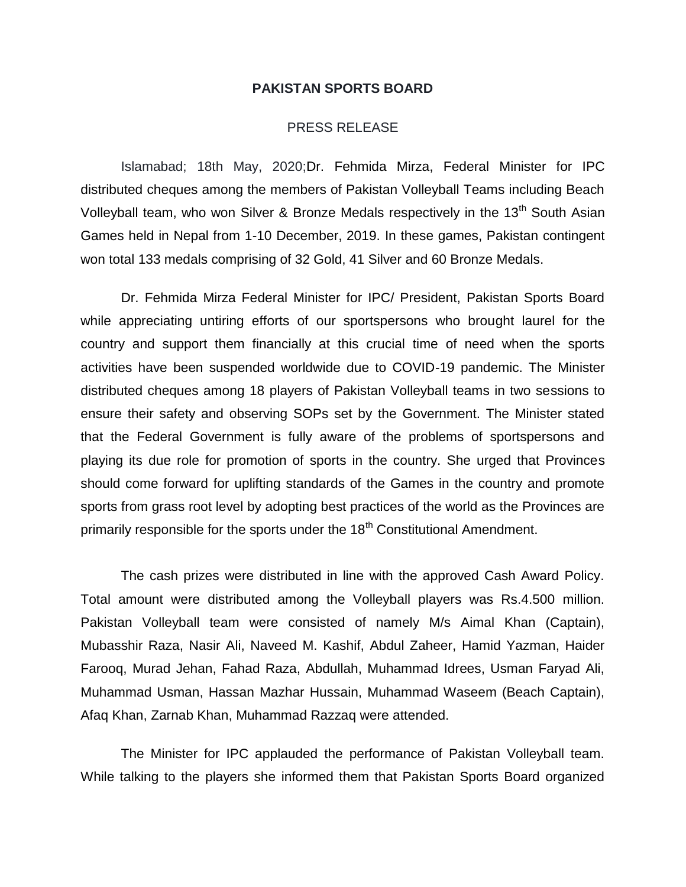## **PAKISTAN SPORTS BOARD**

## PRESS RELEASE

Islamabad; 18th May, 2020;Dr. Fehmida Mirza, Federal Minister for IPC distributed cheques among the members of Pakistan Volleyball Teams including Beach Volleyball team, who won Silver & Bronze Medals respectively in the 13<sup>th</sup> South Asian Games held in Nepal from 1-10 December, 2019. In these games, Pakistan contingent won total 133 medals comprising of 32 Gold, 41 Silver and 60 Bronze Medals.

Dr. Fehmida Mirza Federal Minister for IPC/ President, Pakistan Sports Board while appreciating untiring efforts of our sportspersons who brought laurel for the country and support them financially at this crucial time of need when the sports activities have been suspended worldwide due to COVID-19 pandemic. The Minister distributed cheques among 18 players of Pakistan Volleyball teams in two sessions to ensure their safety and observing SOPs set by the Government. The Minister stated that the Federal Government is fully aware of the problems of sportspersons and playing its due role for promotion of sports in the country. She urged that Provinces should come forward for uplifting standards of the Games in the country and promote sports from grass root level by adopting best practices of the world as the Provinces are primarily responsible for the sports under the  $18<sup>th</sup>$  Constitutional Amendment.

The cash prizes were distributed in line with the approved Cash Award Policy. Total amount were distributed among the Volleyball players was Rs.4.500 million. Pakistan Volleyball team were consisted of namely M/s Aimal Khan (Captain), Mubasshir Raza, Nasir Ali, Naveed M. Kashif, Abdul Zaheer, Hamid Yazman, Haider Farooq, Murad Jehan, Fahad Raza, Abdullah, Muhammad Idrees, Usman Faryad Ali, Muhammad Usman, Hassan Mazhar Hussain, Muhammad Waseem (Beach Captain), Afaq Khan, Zarnab Khan, Muhammad Razzaq were attended.

The Minister for IPC applauded the performance of Pakistan Volleyball team. While talking to the players she informed them that Pakistan Sports Board organized